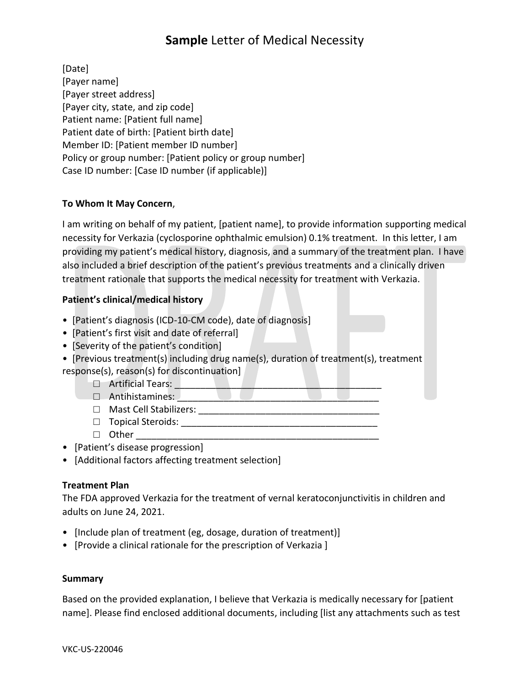# **Sample** Letter of Medical Necessity

[Date] [Payer name] [Payer street address] [Payer city, state, and zip code] Patient name: [Patient full name] Patient date of birth: [Patient birth date] Member ID: [Patient member ID number] Policy or group number: [Patient policy or group number] Case ID number: [Case ID number (if applicable)]

## **To Whom It May Concern**,

I am writing on behalf of my patient, [patient name], to provide information supporting medical necessity for Verkazia (cyclosporine ophthalmic emulsion) 0.1% treatment. In this letter, I am providing my patient's medical history, diagnosis, and a summary of the treatment plan. I have also included a brief description of the patient's previous treatments and a clinically driven treatment rationale that supports the medical necessity for treatment with Verkazia.

### **Patient's clinical/medical history**

- [Patient's diagnosis (ICD-10-CM code), date of diagnosis]
- [Patient's first visit and date of referral]
- [Severity of the patient's condition]
- [Previous treatment(s) including drug name(s), duration of treatment(s), treatment response(s), reason(s) for discontinuation]
	- $\Box$  Artificial Tears:
	- $\Box$  Antihistamines:
	- $\Box$  Mast Cell Stabilizers:
	- □ Topical Steroids: \_\_\_\_\_\_\_\_\_\_\_\_\_\_\_\_\_\_\_\_\_\_\_\_\_\_\_\_\_\_\_\_\_\_\_\_\_\_
	- $\Box$  Other
- [Patient's disease progression]
- [Additional factors affecting treatment selection]

## **Treatment Plan**

The FDA approved Verkazia for the treatment of vernal keratoconjunctivitis in children and adults on June 24, 2021.

- [Include plan of treatment (eg, dosage, duration of treatment)]
- [Provide a clinical rationale for the prescription of Verkazia ]

#### **Summary**

Based on the provided explanation, I believe that Verkazia is medically necessary for [patient name]. Please find enclosed additional documents, including [list any attachments such as test